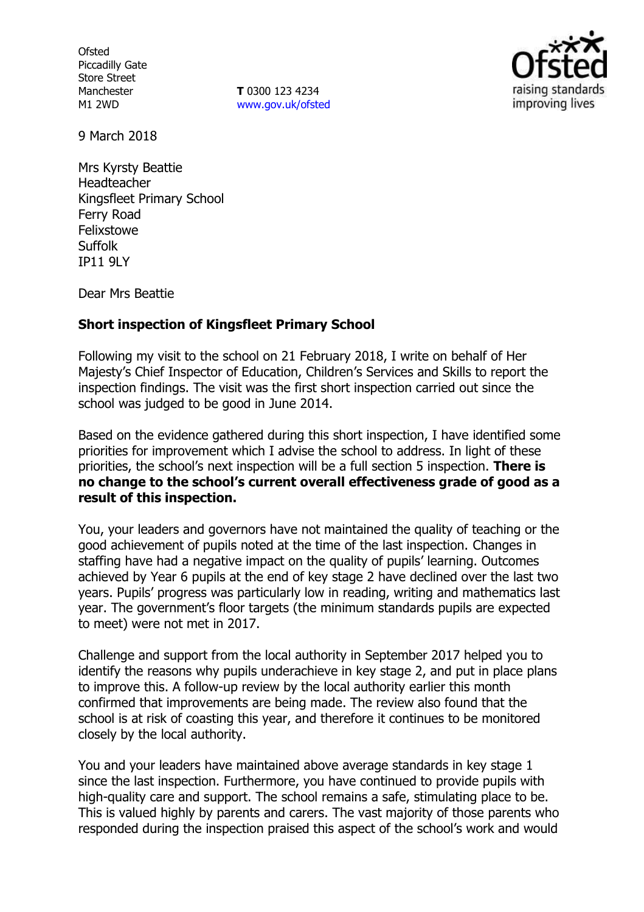**Ofsted** Piccadilly Gate Store Street Manchester M1 2WD

**T** 0300 123 4234 www.gov.uk/ofsted



9 March 2018

Mrs Kyrsty Beattie Headteacher Kingsfleet Primary School Ferry Road Felixstowe **Suffolk** IP11 9LY

Dear Mrs Beattie

### **Short inspection of Kingsfleet Primary School**

Following my visit to the school on 21 February 2018, I write on behalf of Her Majesty's Chief Inspector of Education, Children's Services and Skills to report the inspection findings. The visit was the first short inspection carried out since the school was judged to be good in June 2014.

Based on the evidence gathered during this short inspection, I have identified some priorities for improvement which I advise the school to address. In light of these priorities, the school's next inspection will be a full section 5 inspection. **There is no change to the school's current overall effectiveness grade of good as a result of this inspection.**

You, your leaders and governors have not maintained the quality of teaching or the good achievement of pupils noted at the time of the last inspection. Changes in staffing have had a negative impact on the quality of pupils' learning. Outcomes achieved by Year 6 pupils at the end of key stage 2 have declined over the last two years. Pupils' progress was particularly low in reading, writing and mathematics last year. The government's floor targets (the minimum standards pupils are expected to meet) were not met in 2017.

Challenge and support from the local authority in September 2017 helped you to identify the reasons why pupils underachieve in key stage 2, and put in place plans to improve this. A follow-up review by the local authority earlier this month confirmed that improvements are being made. The review also found that the school is at risk of coasting this year, and therefore it continues to be monitored closely by the local authority.

You and your leaders have maintained above average standards in key stage 1 since the last inspection. Furthermore, you have continued to provide pupils with high-quality care and support. The school remains a safe, stimulating place to be. This is valued highly by parents and carers. The vast majority of those parents who responded during the inspection praised this aspect of the school's work and would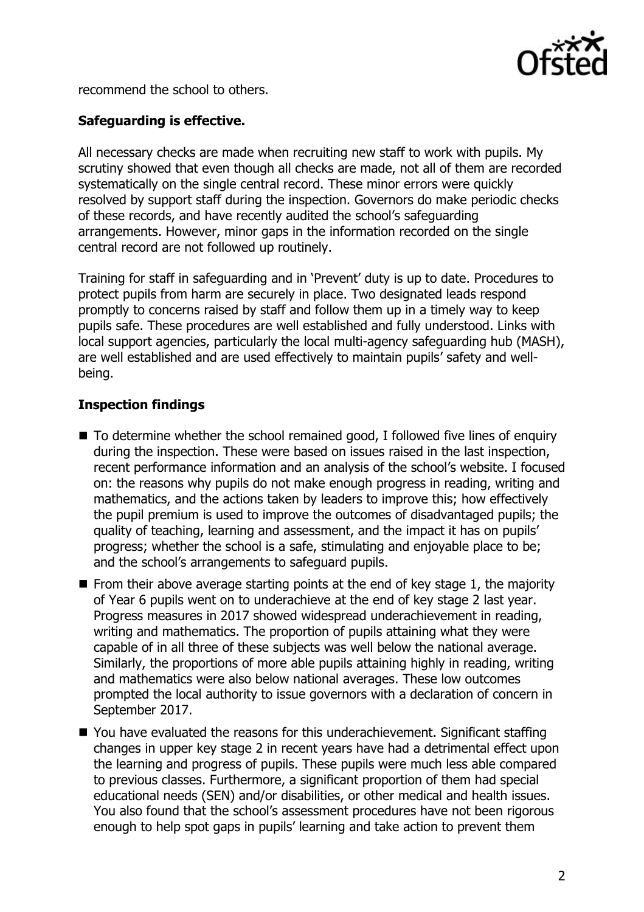

recommend the school to others.

## **Safeguarding is effective.**

All necessary checks are made when recruiting new staff to work with pupils. My scrutiny showed that even though all checks are made, not all of them are recorded systematically on the single central record. These minor errors were quickly resolved by support staff during the inspection. Governors do make periodic checks of these records, and have recently audited the school's safeguarding arrangements. However, minor gaps in the information recorded on the single central record are not followed up routinely.

Training for staff in safeguarding and in 'Prevent' duty is up to date. Procedures to protect pupils from harm are securely in place. Two designated leads respond promptly to concerns raised by staff and follow them up in a timely way to keep pupils safe. These procedures are well established and fully understood. Links with local support agencies, particularly the local multi-agency safeguarding hub (MASH), are well established and are used effectively to maintain pupils' safety and wellbeing.

## **Inspection findings**

- $\blacksquare$  To determine whether the school remained good, I followed five lines of enquiry during the inspection. These were based on issues raised in the last inspection, recent performance information and an analysis of the school's website. I focused on: the reasons why pupils do not make enough progress in reading, writing and mathematics, and the actions taken by leaders to improve this; how effectively the pupil premium is used to improve the outcomes of disadvantaged pupils; the quality of teaching, learning and assessment, and the impact it has on pupils' progress; whether the school is a safe, stimulating and enjoyable place to be; and the school's arrangements to safeguard pupils.
- $\blacksquare$  From their above average starting points at the end of key stage 1, the majority of Year 6 pupils went on to underachieve at the end of key stage 2 last year. Progress measures in 2017 showed widespread underachievement in reading, writing and mathematics. The proportion of pupils attaining what they were capable of in all three of these subjects was well below the national average. Similarly, the proportions of more able pupils attaining highly in reading, writing and mathematics were also below national averages. These low outcomes prompted the local authority to issue governors with a declaration of concern in September 2017.
- You have evaluated the reasons for this underachievement. Significant staffing changes in upper key stage 2 in recent years have had a detrimental effect upon the learning and progress of pupils. These pupils were much less able compared to previous classes. Furthermore, a significant proportion of them had special educational needs (SEN) and/or disabilities, or other medical and health issues. You also found that the school's assessment procedures have not been rigorous enough to help spot gaps in pupils' learning and take action to prevent them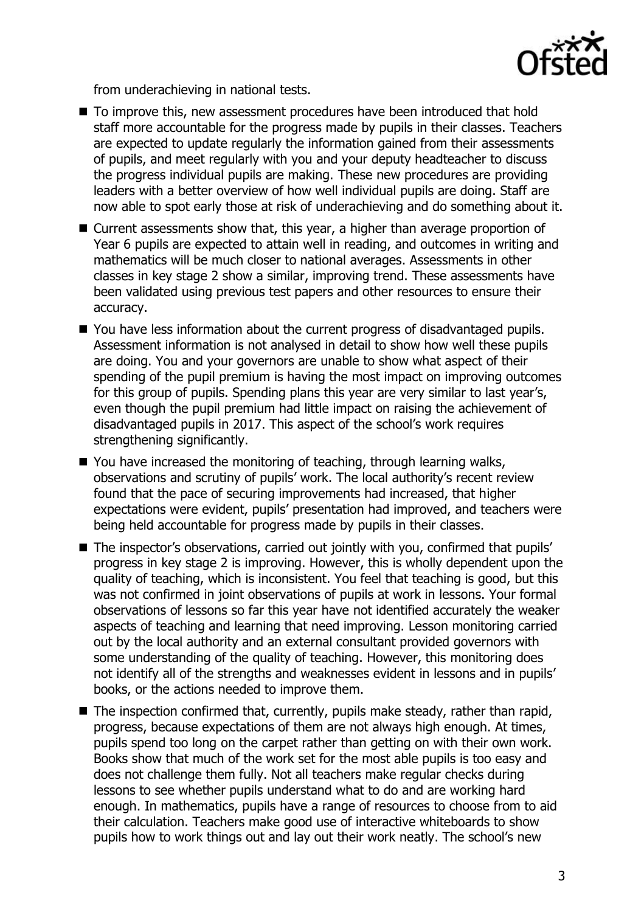

from underachieving in national tests.

- To improve this, new assessment procedures have been introduced that hold staff more accountable for the progress made by pupils in their classes. Teachers are expected to update regularly the information gained from their assessments of pupils, and meet regularly with you and your deputy headteacher to discuss the progress individual pupils are making. These new procedures are providing leaders with a better overview of how well individual pupils are doing. Staff are now able to spot early those at risk of underachieving and do something about it.
- Current assessments show that, this year, a higher than average proportion of Year 6 pupils are expected to attain well in reading, and outcomes in writing and mathematics will be much closer to national averages. Assessments in other classes in key stage 2 show a similar, improving trend. These assessments have been validated using previous test papers and other resources to ensure their accuracy.
- You have less information about the current progress of disadvantaged pupils. Assessment information is not analysed in detail to show how well these pupils are doing. You and your governors are unable to show what aspect of their spending of the pupil premium is having the most impact on improving outcomes for this group of pupils. Spending plans this year are very similar to last year's, even though the pupil premium had little impact on raising the achievement of disadvantaged pupils in 2017. This aspect of the school's work requires strengthening significantly.
- You have increased the monitoring of teaching, through learning walks, observations and scrutiny of pupils' work. The local authority's recent review found that the pace of securing improvements had increased, that higher expectations were evident, pupils' presentation had improved, and teachers were being held accountable for progress made by pupils in their classes.
- The inspector's observations, carried out jointly with you, confirmed that pupils' progress in key stage 2 is improving. However, this is wholly dependent upon the quality of teaching, which is inconsistent. You feel that teaching is good, but this was not confirmed in joint observations of pupils at work in lessons. Your formal observations of lessons so far this year have not identified accurately the weaker aspects of teaching and learning that need improving. Lesson monitoring carried out by the local authority and an external consultant provided governors with some understanding of the quality of teaching. However, this monitoring does not identify all of the strengths and weaknesses evident in lessons and in pupils' books, or the actions needed to improve them.
- The inspection confirmed that, currently, pupils make steady, rather than rapid, progress, because expectations of them are not always high enough. At times, pupils spend too long on the carpet rather than getting on with their own work. Books show that much of the work set for the most able pupils is too easy and does not challenge them fully. Not all teachers make regular checks during lessons to see whether pupils understand what to do and are working hard enough. In mathematics, pupils have a range of resources to choose from to aid their calculation. Teachers make good use of interactive whiteboards to show pupils how to work things out and lay out their work neatly. The school's new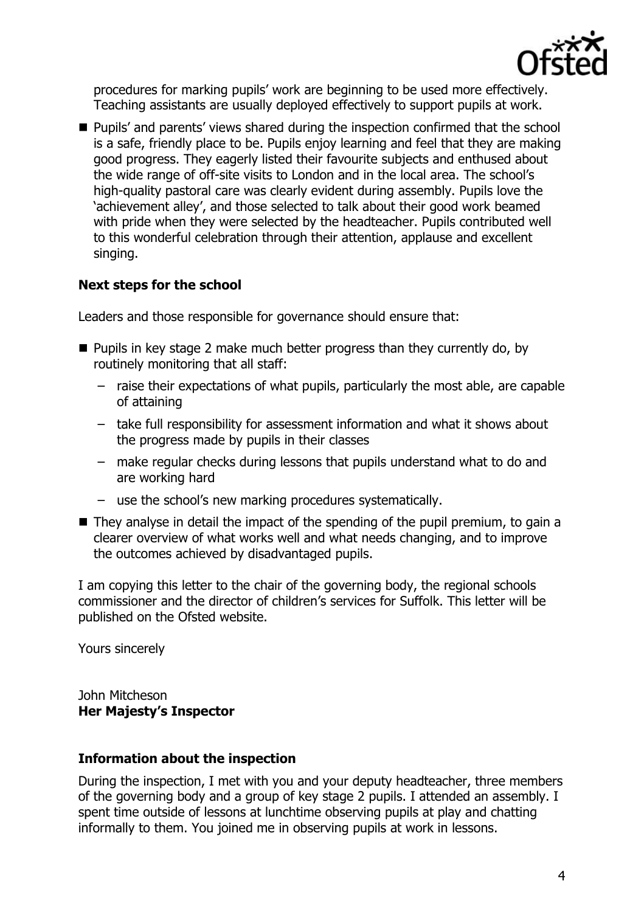

procedures for marking pupils' work are beginning to be used more effectively. Teaching assistants are usually deployed effectively to support pupils at work.

**Pupils'** and parents' views shared during the inspection confirmed that the school is a safe, friendly place to be. Pupils enjoy learning and feel that they are making good progress. They eagerly listed their favourite subjects and enthused about the wide range of off-site visits to London and in the local area. The school's high-quality pastoral care was clearly evident during assembly. Pupils love the 'achievement alley', and those selected to talk about their good work beamed with pride when they were selected by the headteacher. Pupils contributed well to this wonderful celebration through their attention, applause and excellent singing.

# **Next steps for the school**

Leaders and those responsible for governance should ensure that:

- $\blacksquare$  Pupils in key stage 2 make much better progress than they currently do, by routinely monitoring that all staff:
	- raise their expectations of what pupils, particularly the most able, are capable of attaining
	- take full responsibility for assessment information and what it shows about the progress made by pupils in their classes
	- make regular checks during lessons that pupils understand what to do and are working hard
	- use the school's new marking procedures systematically.
- They analyse in detail the impact of the spending of the pupil premium, to gain a clearer overview of what works well and what needs changing, and to improve the outcomes achieved by disadvantaged pupils.

I am copying this letter to the chair of the governing body, the regional schools commissioner and the director of children's services for Suffolk. This letter will be published on the Ofsted website.

Yours sincerely

John Mitcheson **Her Majesty's Inspector**

## **Information about the inspection**

During the inspection, I met with you and your deputy headteacher, three members of the governing body and a group of key stage 2 pupils. I attended an assembly. I spent time outside of lessons at lunchtime observing pupils at play and chatting informally to them. You joined me in observing pupils at work in lessons.